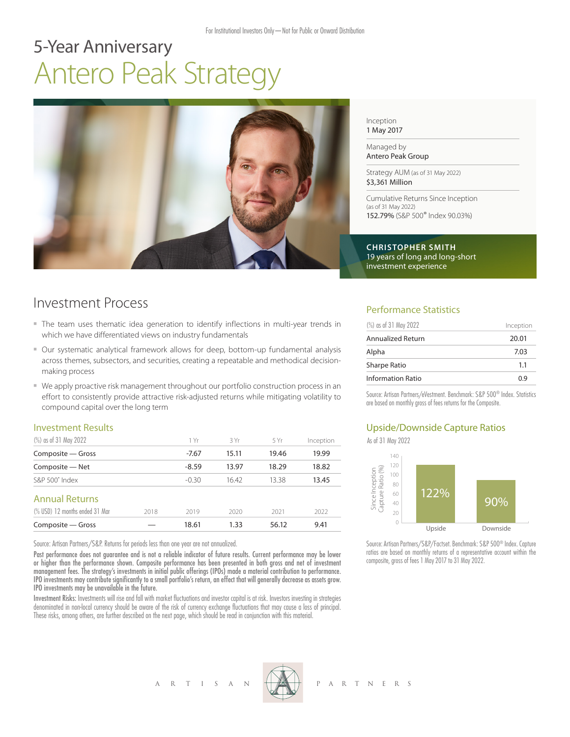# 5-Year Anniversary Antero Peak Strategy



Inception 1 May 2017

Managed by Antero Peak Group

Strategy AUM (as of 31 May 2022) \$3,361 Million

Cumulative Returns Since Inception (as of 31 May 2022) 152.79% (S&P 500® Index 90.03%)

**CHRISTOPHER SMITH** 19 years of long and long-short investment experience

## Investment Process

- The team uses thematic idea generation to identify inflections in multi-year trends in which we have differentiated views on industry fundamentals
- Our systematic analytical framework allows for deep, bottom-up fundamental analysis across themes, subsectors, and securities, creating a repeatable and methodical decisionmaking process
- We apply proactive risk management throughout our portfolio construction process in an effort to consistently provide attractive risk-adjusted returns while mitigating volatility to compound capital over the long term

#### Investment Results

| (%) as of 31 May 2022          |      | 1 Yr    | 3 Yr  | 5 Yr  | Inception |
|--------------------------------|------|---------|-------|-------|-----------|
| Composite - Gross              |      | $-7.67$ | 15.11 | 19.46 | 19.99     |
| Composite - Net                |      | $-8.59$ | 13.97 | 18.29 | 18.82     |
| $S\&P 500^{\circ}$ Index       |      | $-0.30$ | 16.42 | 13.38 | 13.45     |
| <b>Annual Returns</b>          |      |         |       |       |           |
| (% USD) 12 months ended 31 Mar | 2018 | 2019    | 2020  | 2021  | 2022      |
| Composite - Gross              |      | 18.61   | 1.33  | 56.12 | 9.41      |

Source: Artisan Partners/S&P. Returns for periods less than one year are not annualized.

Past performance does not guarantee and is not a reliable indicator of future results. Current performance may be lower or higher than the performance shown. Composite performance has been presented in both gross and net of investment management fees. The strategy's investments in initial public offerings (IPOs) made a material contribution to performance. IPO investments may contribute significantly to a small portfolio's return, an effect that will generally decrease as assets grow. IPO investments may be unavailable in the future.

Investment Risks: Investments will rise and fall with market fluctuations and investor capital is at risk. Investors investing in strategies denominated in non-local currency should be aware of the risk of currency exchange fluctuations that may cause a loss of principal. These risks, among others, are further described on the next page, which should be read in conjunction with this material.

#### Performance Statistics

| (%) as of 31 May 2022    | Inception |
|--------------------------|-----------|
| Annualized Return        | 20.01     |
| Alpha                    | 7.03      |
| <b>Sharpe Ratio</b>      | 1.1       |
| <b>Information Ratio</b> | 0.9       |

Source: Artisan Partners/eVestment. Benchmark: S&P 500® Index. Statistics are based on monthly gross of fees returns for the Composite.

### Upside/Downside Capture Ratios

As of 31 May 2022



Source: Artisan Partners/S&P/Factset. Benchmark: S&P 500® Index. Capture ratios are based on monthly returns of a representative account within the composite, gross of fees 1 May 2017 to 31 May 2022.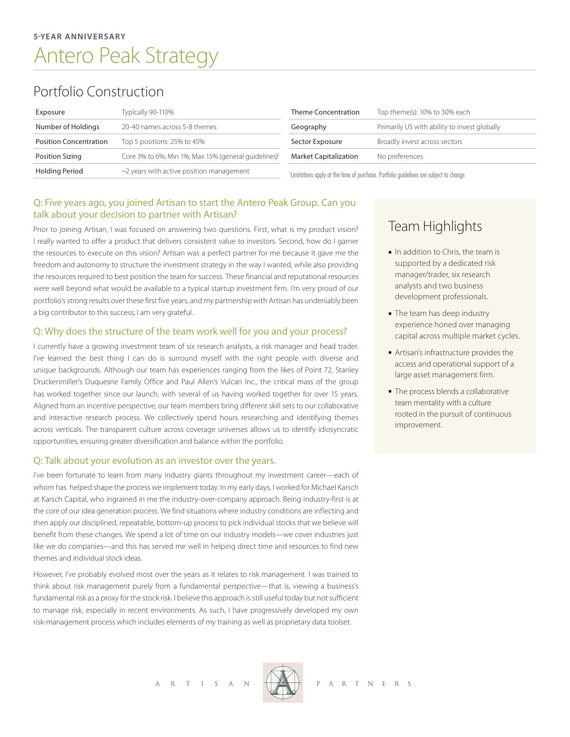# Portfolio Construction

| Exposure                      | Typically 90-110%                                                | <b>Theme Concentration</b>                                                                          | Top theme(s): 10% to 30% each                |
|-------------------------------|------------------------------------------------------------------|-----------------------------------------------------------------------------------------------------|----------------------------------------------|
| Number of Holdings            | 20-40 names across 5-8 themes                                    | Geography                                                                                           | Primarily US with ability to invest globally |
| <b>Position Concentration</b> | Top 5 positions: 25% to 45%                                      | Sector Exposure                                                                                     | Broadly invest across sectors                |
| Position Sizing               | Core 3% to 6%; Min 1%; Max 15% (general guidelines) <sup>1</sup> | <b>Market Capitalization</b>                                                                        | No preferences                               |
| Holding Period                | $\sim$ 2 years with active position management                   | <sup>1</sup> Limitations apply at the time of purchase. Portfolio guidelines are subject to change. |                                              |

#### Q: Five years ago, you joined Artisan to start the Antero Peak Group. Can you talk about your decision to partner with Artisan?

Prior to joining Artisan, I was focused on answering two questions. First, what is my product vision? I really wanted to offer a product that delivers consistent value to investors. Second, how do I garner the resources to execute on this vision? Artisan was a perfect partner for me because it gave me the freedom and autonomy to structure the investment strategy in the way I wanted, while also providing the resources required to best position the team for success. These financial and reputational resources were well beyond what would be available to a typical startup investment firm. I'm very proud of our portfolio's strong results over these first five years, and my partnership with Artisan has undeniably been a big contributor to this success; I am very grateful.

#### Q: Why does the structure of the team work well for you and your process?

I currently have a growing investment team of six research analysts, a risk manager and head trader. I've learned the best thing I can do is surround myself with the right people with diverse and unique backgrounds. Although our team has experiences ranging from the likes of Point 72, Stanley Druckenmiller's Duquesne Family Office and Paul Allen's Vulcan Inc., the critical mass of the group has worked together since our launch, with several of us having worked together for over 15 years. Aligned from an incentive perspective, our team members bring different skill sets to our collaborative and interactive research process. We collectively spend hours researching and identifying themes across verticals. The transparent culture across coverage universes allows us to identify idiosyncratic opportunities, ensuring greater diversification and balance within the portfolio.

#### Q: Talk about your evolution as an investor over the years.

I've been fortunate to learn from many industry giants throughout my investment career—each of whom has helped shape the process we implement today. In my early days, I worked for Michael Karsch at Karsch Capital, who ingrained in me the industry-over-company approach. Being industry-first is at the core of our idea generation process. We find situations where industry conditions are inflecting and then apply our disciplined, repeatable, bottom-up process to pick individual stocks that we believe will benefit from these changes. We spend a lot of time on our industry models—we cover industries just like we do companies—and this has served me well in helping direct time and resources to find new themes and individual stock ideas.

However, I've probably evolved most over the years as it relates to risk management. I was trained to think about risk management purely from a fundamental perspective—that is, viewing a business's fundamental risk as a proxy for the stock risk. I believe this approach is still useful today but not sufficient to manage risk, especially in recent environments. As such, I have progressively developed my own risk-management process which includes elements of my training as well as proprietary data toolset.

Team Highlights

- In addition to Chris, the team is supported by a dedicated risk manager/trader, six research analysts and two business development professionals.
- The team has deep industry experience honed over managing capital across multiple market cycles.
- <sup>n</sup> Artisan's infrastructure provides the access and operational support of a large asset management firm.
- The process blends a collaborative team mentality with a culture rooted in the pursuit of continuous improvement.